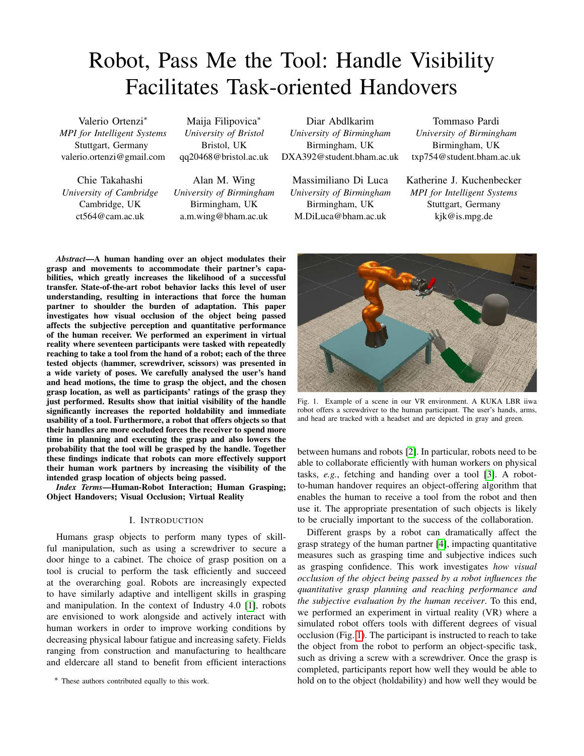# Robot, Pass Me the Tool: Handle Visibility Facilitates Task-oriented Handovers

Valerio Ortenzi<sup>∗</sup> *MPI for Intelligent Systems* Stuttgart, Germany valerio.ortenzi@gmail.com

Chie Takahashi *University of Cambridge* Cambridge, UK ct564@cam.ac.uk

Maija Filipovica<sup>∗</sup> *University of Bristol* Bristol, UK qq20468@bristol.ac.uk

Alan M. Wing *University of Birmingham* Birmingham, UK a.m.wing@bham.ac.uk

Diar Abdlkarim *University of Birmingham* Birmingham, UK DXA392@student.bham.ac.uk

Massimiliano Di Luca *University of Birmingham* Birmingham, UK M.DiLuca@bham.ac.uk

Tommaso Pardi *University of Birmingham* Birmingham, UK txp754@student.bham.ac.uk

Katherine J. Kuchenbecker *MPI for Intelligent Systems* Stuttgart, Germany kjk@is.mpg.de

*Abstract*—A human handing over an object modulates their grasp and movements to accommodate their partner's capabilities, which greatly increases the likelihood of a successful transfer. State-of-the-art robot behavior lacks this level of user understanding, resulting in interactions that force the human partner to shoulder the burden of adaptation. This paper investigates how visual occlusion of the object being passed affects the subjective perception and quantitative performance of the human receiver. We performed an experiment in virtual reality where seventeen participants were tasked with repeatedly reaching to take a tool from the hand of a robot; each of the three tested objects (hammer, screwdriver, scissors) was presented in a wide variety of poses. We carefully analysed the user's hand and head motions, the time to grasp the object, and the chosen grasp location, as well as participants' ratings of the grasp they just performed. Results show that initial visibility of the handle significantly increases the reported holdability and immediate usability of a tool. Furthermore, a robot that offers objects so that their handles are more occluded forces the receiver to spend more time in planning and executing the grasp and also lowers the probability that the tool will be grasped by the handle. Together these findings indicate that robots can more effectively support their human work partners by increasing the visibility of the intended grasp location of objects being passed.

*Index Terms*—Human-Robot Interaction; Human Grasping; Object Handovers; Visual Occlusion; Virtual Reality

#### I. INTRODUCTION

Humans grasp objects to perform many types of skillful manipulation, such as using a screwdriver to secure a door hinge to a cabinet. The choice of grasp position on a tool is crucial to perform the task efficiently and succeed at the overarching goal. Robots are increasingly expected to have similarly adaptive and intelligent skills in grasping and manipulation. In the context of Industry 4.0 [\[1\]](#page-8-0), robots are envisioned to work alongside and actively interact with human workers in order to improve working conditions by decreasing physical labour fatigue and increasing safety. Fields ranging from construction and manufacturing to healthcare and eldercare all stand to benefit from efficient interactions

∗ These authors contributed equally to this work.

<span id="page-0-0"></span>Fig. 1. Example of a scene in our VR environment. A KUKA LBR iiwa robot offers a screwdriver to the human participant. The user's hands, arms, and head are tracked with a headset and are depicted in gray and green.

between humans and robots [\[2\]](#page-8-1). In particular, robots need to be able to collaborate efficiently with human workers on physical tasks, *e.g.*, fetching and handing over a tool [\[3\]](#page-8-2). A robotto-human handover requires an object-offering algorithm that enables the human to receive a tool from the robot and then use it. The appropriate presentation of such objects is likely to be crucially important to the success of the collaboration.

Different grasps by a robot can dramatically affect the grasp strategy of the human partner [\[4\]](#page-8-3), impacting quantitative measures such as grasping time and subjective indices such as grasping confidence. This work investigates *how visual occlusion of the object being passed by a robot influences the quantitative grasp planning and reaching performance and the subjective evaluation by the human receiver*. To this end, we performed an experiment in virtual reality (VR) where a simulated robot offers tools with different degrees of visual occlusion (Fig. [1\)](#page-0-0). The participant is instructed to reach to take the object from the robot to perform an object-specific task, such as driving a screw with a screwdriver. Once the grasp is completed, participants report how well they would be able to hold on to the object (holdability) and how well they would be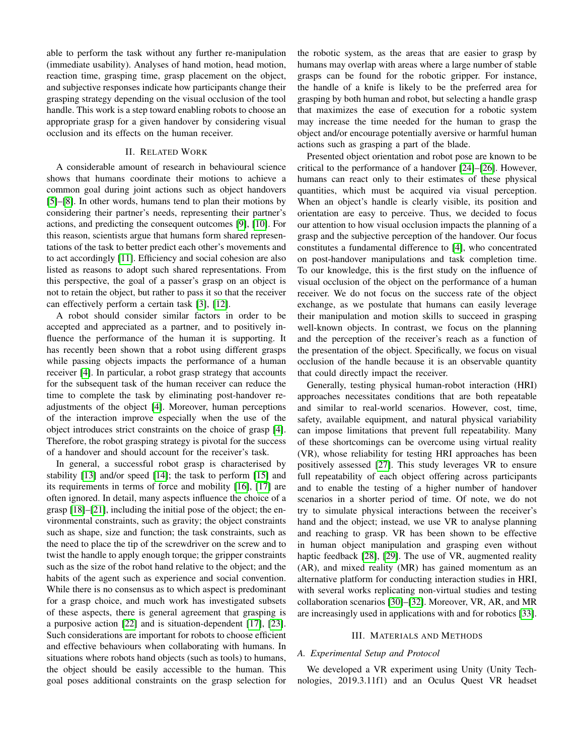able to perform the task without any further re-manipulation (immediate usability). Analyses of hand motion, head motion, reaction time, grasping time, grasp placement on the object, and subjective responses indicate how participants change their grasping strategy depending on the visual occlusion of the tool handle. This work is a step toward enabling robots to choose an appropriate grasp for a given handover by considering visual occlusion and its effects on the human receiver.

# II. RELATED WORK

A considerable amount of research in behavioural science shows that humans coordinate their motions to achieve a common goal during joint actions such as object handovers [\[5\]](#page-8-4)–[\[8\]](#page-8-5). In other words, humans tend to plan their motions by considering their partner's needs, representing their partner's actions, and predicting the consequent outcomes [\[9\]](#page-8-6), [\[10\]](#page-8-7). For this reason, scientists argue that humans form shared representations of the task to better predict each other's movements and to act accordingly [\[11\]](#page-8-8). Efficiency and social cohesion are also listed as reasons to adopt such shared representations. From this perspective, the goal of a passer's grasp on an object is not to retain the object, but rather to pass it so that the receiver can effectively perform a certain task [\[3\]](#page-8-2), [\[12\]](#page-8-9).

A robot should consider similar factors in order to be accepted and appreciated as a partner, and to positively influence the performance of the human it is supporting. It has recently been shown that a robot using different grasps while passing objects impacts the performance of a human receiver [\[4\]](#page-8-3). In particular, a robot grasp strategy that accounts for the subsequent task of the human receiver can reduce the time to complete the task by eliminating post-handover readjustments of the object [\[4\]](#page-8-3). Moreover, human perceptions of the interaction improve especially when the use of the object introduces strict constraints on the choice of grasp [\[4\]](#page-8-3). Therefore, the robot grasping strategy is pivotal for the success of a handover and should account for the receiver's task.

In general, a successful robot grasp is characterised by stability [\[13\]](#page-8-10) and/or speed [\[14\]](#page-8-11); the task to perform [\[15\]](#page-8-12) and its requirements in terms of force and mobility [\[16\]](#page-8-13), [\[17\]](#page-8-14) are often ignored. In detail, many aspects influence the choice of a grasp [\[18\]](#page-8-15)–[\[21\]](#page-8-16), including the initial pose of the object; the environmental constraints, such as gravity; the object constraints such as shape, size and function; the task constraints, such as the need to place the tip of the screwdriver on the screw and to twist the handle to apply enough torque; the gripper constraints such as the size of the robot hand relative to the object; and the habits of the agent such as experience and social convention. While there is no consensus as to which aspect is predominant for a grasp choice, and much work has investigated subsets of these aspects, there is general agreement that grasping is a purposive action [\[22\]](#page-8-17) and is situation-dependent [\[17\]](#page-8-14), [\[23\]](#page-8-18). Such considerations are important for robots to choose efficient and effective behaviours when collaborating with humans. In situations where robots hand objects (such as tools) to humans, the object should be easily accessible to the human. This goal poses additional constraints on the grasp selection for

the robotic system, as the areas that are easier to grasp by humans may overlap with areas where a large number of stable grasps can be found for the robotic gripper. For instance, the handle of a knife is likely to be the preferred area for grasping by both human and robot, but selecting a handle grasp that maximizes the ease of execution for a robotic system may increase the time needed for the human to grasp the object and/or encourage potentially aversive or harmful human actions such as grasping a part of the blade.

Presented object orientation and robot pose are known to be critical to the performance of a handover [\[24\]](#page-8-19)–[\[26\]](#page-8-20). However, humans can react only to their estimates of these physical quantities, which must be acquired via visual perception. When an object's handle is clearly visible, its position and orientation are easy to perceive. Thus, we decided to focus our attention to how visual occlusion impacts the planning of a grasp and the subjective perception of the handover. Our focus constitutes a fundamental difference to [\[4\]](#page-8-3), who concentrated on post-handover manipulations and task completion time. To our knowledge, this is the first study on the influence of visual occlusion of the object on the performance of a human receiver. We do not focus on the success rate of the object exchange, as we postulate that humans can easily leverage their manipulation and motion skills to succeed in grasping well-known objects. In contrast, we focus on the planning and the perception of the receiver's reach as a function of the presentation of the object. Specifically, we focus on visual occlusion of the handle because it is an observable quantity that could directly impact the receiver.

Generally, testing physical human-robot interaction (HRI) approaches necessitates conditions that are both repeatable and similar to real-world scenarios. However, cost, time, safety, available equipment, and natural physical variability can impose limitations that prevent full repeatability. Many of these shortcomings can be overcome using virtual reality (VR), whose reliability for testing HRI approaches has been positively assessed [\[27\]](#page-8-21). This study leverages VR to ensure full repeatability of each object offering across participants and to enable the testing of a higher number of handover scenarios in a shorter period of time. Of note, we do not try to simulate physical interactions between the receiver's hand and the object; instead, we use VR to analyse planning and reaching to grasp. VR has been shown to be effective in human object manipulation and grasping even without haptic feedback [\[28\]](#page-8-22), [\[29\]](#page-8-23). The use of VR, augmented reality (AR), and mixed reality (MR) has gained momentum as an alternative platform for conducting interaction studies in HRI, with several works replicating non-virtual studies and testing collaboration scenarios [\[30\]](#page-8-24)–[\[32\]](#page-8-25). Moreover, VR, AR, and MR are increasingly used in applications with and for robotics [\[33\]](#page-8-26).

## III. MATERIALS AND METHODS

## *A. Experimental Setup and Protocol*

We developed a VR experiment using Unity (Unity Technologies, 2019.3.11f1) and an Oculus Quest VR headset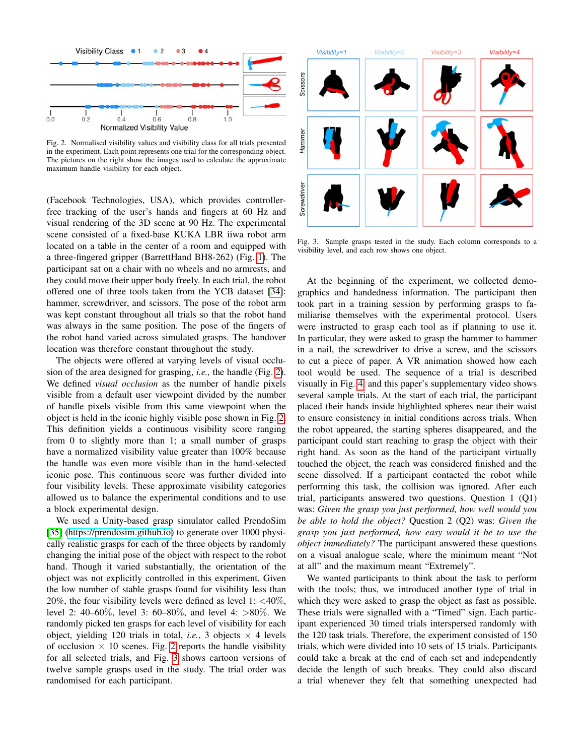

<span id="page-2-0"></span>Fig. 2. Normalised visibility values and visibility class for all trials presented in the experiment. Each point represents one trial for the corresponding object. The pictures on the right show the images used to calculate the approximate maximum handle visibility for each object.

(Facebook Technologies, USA), which provides controllerfree tracking of the user's hands and fingers at 60 Hz and visual rendering of the 3D scene at 90 Hz. The experimental scene consisted of a fixed-base KUKA LBR iiwa robot arm located on a table in the center of a room and equipped with a three-fingered gripper (BarrettHand BH8-262) (Fig. [1\)](#page-0-0). The participant sat on a chair with no wheels and no armrests, and they could move their upper body freely. In each trial, the robot offered one of three tools taken from the YCB dataset [\[34\]](#page-8-27): hammer, screwdriver, and scissors. The pose of the robot arm was kept constant throughout all trials so that the robot hand was always in the same position. The pose of the fingers of the robot hand varied across simulated grasps. The handover location was therefore constant throughout the study.

The objects were offered at varying levels of visual occlusion of the area designed for grasping, *i.e.,* the handle (Fig. [2\)](#page-2-0). We defined *visual occlusion* as the number of handle pixels visible from a default user viewpoint divided by the number of handle pixels visible from this same viewpoint when the object is held in the iconic highly visible pose shown in Fig. [2.](#page-2-0) This definition yields a continuous visibility score ranging from 0 to slightly more than 1; a small number of grasps have a normalized visibility value greater than 100% because the handle was even more visible than in the hand-selected iconic pose. This continuous score was further divided into four visibility levels. These approximate visibility categories allowed us to balance the experimental conditions and to use a block experimental design.

We used a Unity-based grasp simulator called PrendoSim [\[35\]](#page-8-28) [\(https://prendosim.github.io\)](https://prendosim.github.io) to generate over 1000 physically realistic grasps for each of the three objects by randomly changing the initial pose of the object with respect to the robot hand. Though it varied substantially, the orientation of the object was not explicitly controlled in this experiment. Given the low number of stable grasps found for visibility less than 20%, the four visibility levels were defined as level 1:  $\langle 40\% \rangle$ , level 2: 40–60%, level 3: 60–80%, and level 4: >80%. We randomly picked ten grasps for each level of visibility for each object, yielding 120 trials in total, *i.e.*, 3 objects  $\times$  4 levels of occlusion  $\times$  10 scenes. Fig. [2](#page-2-0) reports the handle visibility for all selected trials, and Fig. [3](#page-2-1) shows cartoon versions of twelve sample grasps used in the study. The trial order was randomised for each participant.



<span id="page-2-1"></span>Fig. 3. Sample grasps tested in the study. Each column corresponds to a visibility level, and each row shows one object.

At the beginning of the experiment, we collected demographics and handedness information. The participant then took part in a training session by performing grasps to familiarise themselves with the experimental protocol. Users were instructed to grasp each tool as if planning to use it. In particular, they were asked to grasp the hammer to hammer in a nail, the screwdriver to drive a screw, and the scissors to cut a piece of paper. A VR animation showed how each tool would be used. The sequence of a trial is described visually in Fig. [4,](#page-3-0) and this paper's supplementary video shows several sample trials. At the start of each trial, the participant placed their hands inside highlighted spheres near their waist to ensure consistency in initial conditions across trials. When the robot appeared, the starting spheres disappeared, and the participant could start reaching to grasp the object with their right hand. As soon as the hand of the participant virtually touched the object, the reach was considered finished and the scene dissolved. If a participant contacted the robot while performing this task, the collision was ignored. After each trial, participants answered two questions. Question 1 (Q1) was: *Given the grasp you just performed, how well would you be able to hold the object?* Question 2 (Q2) was: *Given the grasp you just performed, how easy would it be to use the object immediately?* The participant answered these questions on a visual analogue scale, where the minimum meant "Not at all" and the maximum meant "Extremely".

We wanted participants to think about the task to perform with the tools; thus, we introduced another type of trial in which they were asked to grasp the object as fast as possible. These trials were signalled with a "Timed" sign. Each participant experienced 30 timed trials interspersed randomly with the 120 task trials. Therefore, the experiment consisted of 150 trials, which were divided into 10 sets of 15 trials. Participants could take a break at the end of each set and independently decide the length of such breaks. They could also discard a trial whenever they felt that something unexpected had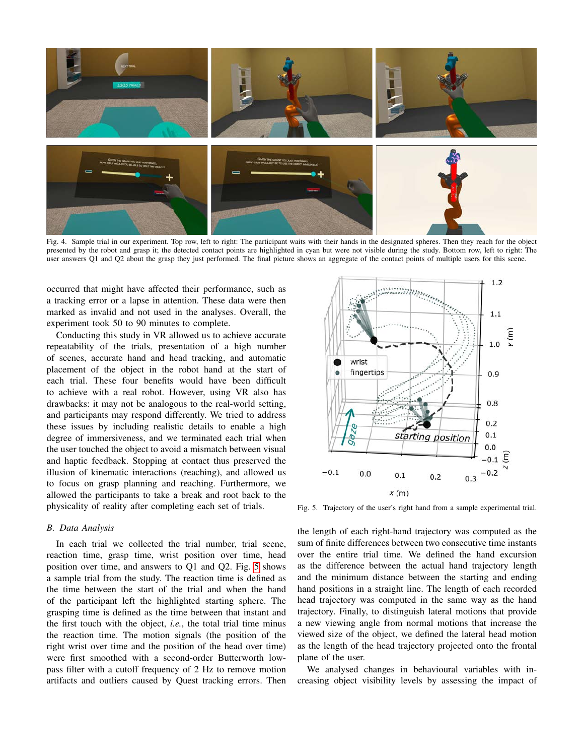

<span id="page-3-0"></span>Fig. 4. Sample trial in our experiment. Top row, left to right: The participant waits with their hands in the designated spheres. Then they reach for the object presented by the robot and grasp it; the detected contact points are highlighted in cyan but were not visible during the study. Bottom row, left to right: The user answers Q1 and Q2 about the grasp they just performed. The final picture shows an aggregate of the contact points of multiple users for this scene.

occurred that might have affected their performance, such as a tracking error or a lapse in attention. These data were then marked as invalid and not used in the analyses. Overall, the experiment took 50 to 90 minutes to complete.

Conducting this study in VR allowed us to achieve accurate repeatability of the trials, presentation of a high number of scenes, accurate hand and head tracking, and automatic placement of the object in the robot hand at the start of each trial. These four benefits would have been difficult to achieve with a real robot. However, using VR also has drawbacks: it may not be analogous to the real-world setting, and participants may respond differently. We tried to address these issues by including realistic details to enable a high degree of immersiveness, and we terminated each trial when the user touched the object to avoid a mismatch between visual and haptic feedback. Stopping at contact thus preserved the illusion of kinematic interactions (reaching), and allowed us to focus on grasp planning and reaching. Furthermore, we allowed the participants to take a break and root back to the physicality of reality after completing each set of trials.

#### *B. Data Analysis*

In each trial we collected the trial number, trial scene, reaction time, grasp time, wrist position over time, head position over time, and answers to Q1 and Q2. Fig. [5](#page-3-1) shows a sample trial from the study. The reaction time is defined as the time between the start of the trial and when the hand of the participant left the highlighted starting sphere. The grasping time is defined as the time between that instant and the first touch with the object, *i.e.*, the total trial time minus the reaction time. The motion signals (the position of the right wrist over time and the position of the head over time) were first smoothed with a second-order Butterworth lowpass filter with a cutoff frequency of 2 Hz to remove motion artifacts and outliers caused by Quest tracking errors. Then



<span id="page-3-1"></span>Fig. 5. Trajectory of the user's right hand from a sample experimental trial.

the length of each right-hand trajectory was computed as the sum of finite differences between two consecutive time instants over the entire trial time. We defined the hand excursion as the difference between the actual hand trajectory length and the minimum distance between the starting and ending hand positions in a straight line. The length of each recorded head trajectory was computed in the same way as the hand trajectory. Finally, to distinguish lateral motions that provide a new viewing angle from normal motions that increase the viewed size of the object, we defined the lateral head motion as the length of the head trajectory projected onto the frontal plane of the user.

We analysed changes in behavioural variables with increasing object visibility levels by assessing the impact of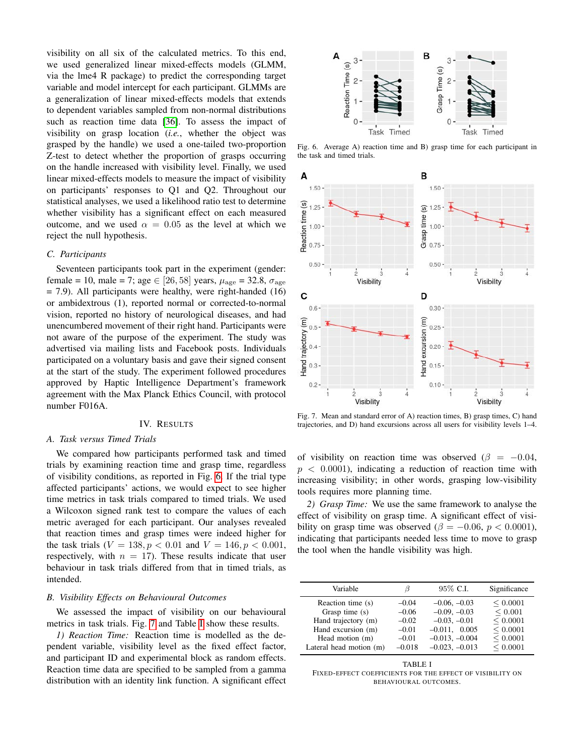visibility on all six of the calculated metrics. To this end, we used generalized linear mixed-effects models (GLMM, via the lme4 R package) to predict the corresponding target variable and model intercept for each participant. GLMMs are a generalization of linear mixed-effects models that extends to dependent variables sampled from non-normal distributions such as reaction time data [\[36\]](#page-8-29). To assess the impact of visibility on grasp location (*i.e.*, whether the object was grasped by the handle) we used a one-tailed two-proportion Z-test to detect whether the proportion of grasps occurring on the handle increased with visibility level. Finally, we used linear mixed-effects models to measure the impact of visibility on participants' responses to Q1 and Q2. Throughout our statistical analyses, we used a likelihood ratio test to determine whether visibility has a significant effect on each measured outcome, and we used  $\alpha = 0.05$  as the level at which we reject the null hypothesis.

#### *C. Participants*

Seventeen participants took part in the experiment (gender: female = 10, male = 7; age  $\in$  [26, 58] years,  $\mu_{\text{age}}$  = 32.8,  $\sigma_{\text{age}}$ = 7.9). All participants were healthy, were right-handed (16) or ambidextrous (1), reported normal or corrected-to-normal vision, reported no history of neurological diseases, and had unencumbered movement of their right hand. Participants were not aware of the purpose of the experiment. The study was advertised via mailing lists and Facebook posts. Individuals participated on a voluntary basis and gave their signed consent at the start of the study. The experiment followed procedures approved by Haptic Intelligence Department's framework agreement with the Max Planck Ethics Council, with protocol number F016A.

## IV. RESULTS

#### *A. Task versus Timed Trials*

We compared how participants performed task and timed trials by examining reaction time and grasp time, regardless of visibility conditions, as reported in Fig. [6.](#page-4-0) If the trial type affected participants' actions, we would expect to see higher time metrics in task trials compared to timed trials. We used a Wilcoxon signed rank test to compare the values of each metric averaged for each participant. Our analyses revealed that reaction times and grasp times were indeed higher for the task trials  $(V = 138, p < 0.01$  and  $V = 146, p < 0.001$ , respectively, with  $n = 17$ ). These results indicate that user behaviour in task trials differed from that in timed trials, as intended.

#### *B. Visibility Effects on Behavioural Outcomes*

We assessed the impact of visibility on our behavioural metrics in task trials. Fig. [7](#page-4-1) and Table [I](#page-4-2) show these results.

*1) Reaction Time:* Reaction time is modelled as the dependent variable, visibility level as the fixed effect factor, and participant ID and experimental block as random effects. Reaction time data are specified to be sampled from a gamma distribution with an identity link function. A significant effect



<span id="page-4-0"></span>Fig. 6. Average A) reaction time and B) grasp time for each participant in the task and timed trials.



<span id="page-4-1"></span>Fig. 7. Mean and standard error of A) reaction times, B) grasp times, C) hand trajectories, and D) hand excursions across all users for visibility levels 1–4.

of visibility on reaction time was observed ( $\beta = -0.04$ ,  $p < 0.0001$ , indicating a reduction of reaction time with increasing visibility; in other words, grasping low-visibility tools requires more planning time.

*2) Grasp Time:* We use the same framework to analyse the effect of visibility on grasp time. A significant effect of visibility on grasp time was observed ( $\beta = -0.06$ ,  $p < 0.0001$ ), indicating that participants needed less time to move to grasp the tool when the handle visibility was high.

| Variable                              | ß                  | 95% C.I.                            | Significance         |
|---------------------------------------|--------------------|-------------------------------------|----------------------|
| Reaction time (s)<br>Grasp time $(s)$ | $-0.04$<br>$-0.06$ | $-0.06, -0.03$<br>$-0.09, -0.03$    | < 0.0001<br>< 0.001  |
| Hand trajectory (m)                   | $-0.02$            | $-0.03, -0.01$                      | < 0.0001             |
| Hand excursion (m)<br>Head motion (m) | $-0.01$<br>$-0.01$ | $-0.011, 0.005$<br>$-0.013, -0.004$ | < 0.0001<br>< 0.0001 |
| Lateral head motion (m)               | $-0.018$           | $-0.023, -0.013$                    | < 0.0001             |

<span id="page-4-2"></span>TABLE I FIXED-EFFECT COEFFICIENTS FOR THE EFFECT OF VISIBILITY ON BEHAVIOURAL OUTCOMES.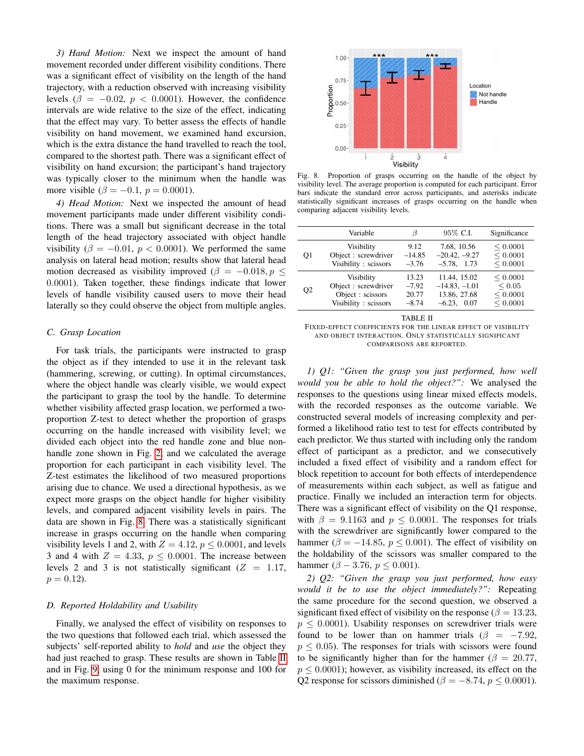*3) Hand Motion:* Next we inspect the amount of hand movement recorded under different visibility conditions. There was a significant effect of visibility on the length of the hand trajectory, with a reduction observed with increasing visibility levels ( $\beta = -0.02$ ,  $p < 0.0001$ ). However, the confidence intervals are wide relative to the size of the effect, indicating that the effect may vary. To better assess the effects of handle visibility on hand movement, we examined hand excursion, which is the extra distance the hand travelled to reach the tool, compared to the shortest path. There was a significant effect of visibility on hand excursion; the participant's hand trajectory was typically closer to the minimum when the handle was more visible ( $\beta = -0.1$ ,  $p = 0.0001$ ).

*4) Head Motion:* Next we inspected the amount of head movement participants made under different visibility conditions. There was a small but significant decrease in the total length of the head trajectory associated with object handle visibility ( $\beta = -0.01$ ,  $p < 0.0001$ ). We performed the same analysis on lateral head motion; results show that lateral head motion decreased as visibility improved ( $\beta = -0.018, p \leq$ 0.0001). Taken together, these findings indicate that lower levels of handle visibility caused users to move their head laterally so they could observe the object from multiple angles.

## *C. Grasp Location*

For task trials, the participants were instructed to grasp the object as if they intended to use it in the relevant task (hammering, screwing, or cutting). In optimal circumstances, where the object handle was clearly visible, we would expect the participant to grasp the tool by the handle. To determine whether visibility affected grasp location, we performed a twoproportion Z-test to detect whether the proportion of grasps occurring on the handle increased with visibility level; we divided each object into the red handle zone and blue nonhandle zone shown in Fig. [2,](#page-2-0) and we calculated the average proportion for each participant in each visibility level. The Z-test estimates the likelihood of two measured proportions arising due to chance. We used a directional hypothesis, as we expect more grasps on the object handle for higher visibility levels, and compared adjacent visibility levels in pairs. The data are shown in Fig. [8.](#page-5-0) There was a statistically significant increase in grasps occurring on the handle when comparing visibility levels 1 and 2, with  $Z = 4.12$ ,  $p \le 0.0001$ , and levels 3 and 4 with  $Z = 4.33$ ,  $p \le 0.0001$ . The increase between levels 2 and 3 is not statistically significant  $(Z = 1.17,$  $p = 0.12$ .

## *D. Reported Holdability and Usability*

Finally, we analysed the effect of visibility on responses to the two questions that followed each trial, which assessed the subjects' self-reported ability to *hold* and *use* the object they had just reached to grasp. These results are shown in Table [II](#page-5-1) and in Fig. [9,](#page-6-0) using 0 for the minimum response and 100 for the maximum response.



<span id="page-5-0"></span>Fig. 8. Proportion of grasps occurring on the handle of the object by visibility level. The average proportion is computed for each participant. Error bars indicate the standard error across participants, and asterisks indicate statistically significant increases of grasps occurring on the handle when comparing adjacent visibility levels.

|                | Variable             | ß        | 95% C.I.        | Significance |
|----------------|----------------------|----------|-----------------|--------------|
| O1             | Visibility           | 9.12     | 7.68, 10.56     | < 0.0001     |
|                | Object: screwdriver  | $-14.85$ | $-20.42, -9.27$ | < 0.0001     |
|                | Visibility: scissors | $-3.76$  | $-5.78$ , 1.73  | < 0.0001     |
| O <sub>2</sub> | Visibility           | 13.23    | 11.44, 15.02    | < 0.0001     |
|                | Object: screwdriver  | $-7.92$  | $-14.83, -1.01$ | ${}< 0.05$   |
|                | Object : scissors    | 20.77    | 13.86, 27.68    | < 0.0001     |
|                | Visibility: scissors | $-8.74$  | $-6.23$ , 0.07  | < 0.0001     |

TABLE II

<span id="page-5-1"></span>FIXED-EFFECT COEFFICIENTS FOR THE LINEAR EFFECT OF VISIBILITY AND OBJECT INTERACTION. ONLY STATISTICALLY SIGNIFICANT COMPARISONS ARE REPORTED.

*1) Q1: "Given the grasp you just performed, how well would you be able to hold the object?":* We analysed the responses to the questions using linear mixed effects models, with the recorded responses as the outcome variable. We constructed several models of increasing complexity and performed a likelihood ratio test to test for effects contributed by each predictor. We thus started with including only the random effect of participant as a predictor, and we consecutively included a fixed effect of visibility and a random effect for block repetition to account for both effects of interdependence of measurements within each subject, as well as fatigue and practice. Finally we included an interaction term for objects. There was a significant effect of visibility on the Q1 response, with  $\beta = 9.1163$  and  $p \le 0.0001$ . The responses for trials with the screwdriver are significantly lower compared to the hammer ( $\beta = -14.85$ ,  $p \le 0.001$ ). The effect of visibility on the holdability of the scissors was smaller compared to the hammer ( $\beta - 3.76$ ,  $p \le 0.001$ ).

*2) Q2: "Given the grasp you just performed, how easy would it be to use the object immediately?":* Repeating the same procedure for the second question, we observed a significant fixed effect of visibility on the response ( $\beta = 13.23$ ,  $p \leq 0.0001$ ). Usability responses on screwdriver trials were found to be lower than on hammer trials ( $\beta$  = -7.92,  $p \leq 0.05$ ). The responses for trials with scissors were found to be significantly higher than for the hammer ( $\beta = 20.77$ ,  $p \leq 0.0001$ ; however, as visibility increased, its effect on the Q2 response for scissors diminished ( $\beta = -8.74$ ,  $p \le 0.0001$ ).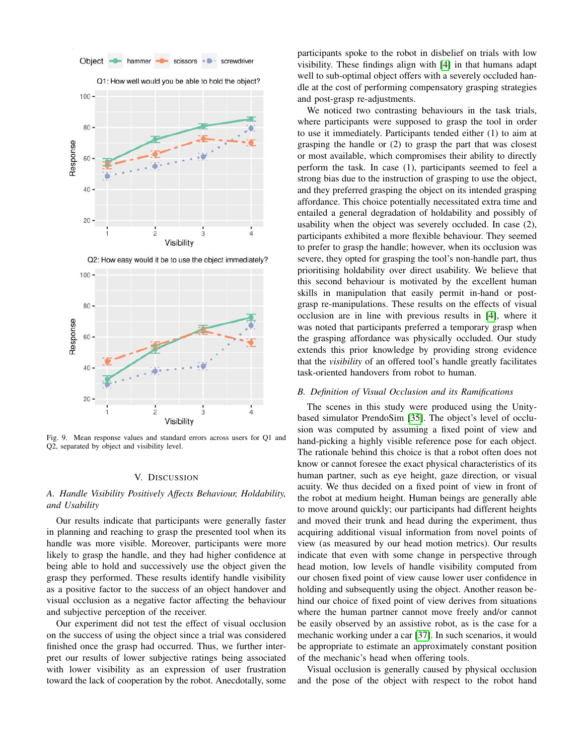

<span id="page-6-0"></span>Fig. 9. Mean response values and standard errors across users for Q1 and Q2, separated by object and visibility level.

## V. DISCUSSION

# *A. Handle Visibility Positively Affects Behaviour, Holdability, and Usability*

Our results indicate that participants were generally faster in planning and reaching to grasp the presented tool when its handle was more visible. Moreover, participants were more likely to grasp the handle, and they had higher confidence at being able to hold and successively use the object given the grasp they performed. These results identify handle visibility as a positive factor to the success of an object handover and visual occlusion as a negative factor affecting the behaviour and subjective perception of the receiver.

Our experiment did not test the effect of visual occlusion on the success of using the object since a trial was considered finished once the grasp had occurred. Thus, we further interpret our results of lower subjective ratings being associated with lower visibility as an expression of user frustration toward the lack of cooperation by the robot. Anecdotally, some participants spoke to the robot in disbelief on trials with low visibility. These findings align with [\[4\]](#page-8-3) in that humans adapt well to sub-optimal object offers with a severely occluded handle at the cost of performing compensatory grasping strategies and post-grasp re-adjustments.

We noticed two contrasting behaviours in the task trials, where participants were supposed to grasp the tool in order to use it immediately. Participants tended either (1) to aim at grasping the handle or (2) to grasp the part that was closest or most available, which compromises their ability to directly perform the task. In case (1), participants seemed to feel a strong bias due to the instruction of grasping to use the object, and they preferred grasping the object on its intended grasping affordance. This choice potentially necessitated extra time and entailed a general degradation of holdability and possibly of usability when the object was severely occluded. In case (2), participants exhibited a more flexible behaviour. They seemed to prefer to grasp the handle; however, when its occlusion was severe, they opted for grasping the tool's non-handle part, thus prioritising holdability over direct usability. We believe that this second behaviour is motivated by the excellent human skills in manipulation that easily permit in-hand or postgrasp re-manipulations. These results on the effects of visual occlusion are in line with previous results in [\[4\]](#page-8-3), where it was noted that participants preferred a temporary grasp when the grasping affordance was physically occluded. Our study extends this prior knowledge by providing strong evidence that the *visibility* of an offered tool's handle greatly facilitates task-oriented handovers from robot to human.

#### *B. Definition of Visual Occlusion and its Ramifications*

The scenes in this study were produced using the Unitybased simulator PrendoSim [\[35\]](#page-8-28). The object's level of occlusion was computed by assuming a fixed point of view and hand-picking a highly visible reference pose for each object. The rationale behind this choice is that a robot often does not know or cannot foresee the exact physical characteristics of its human partner, such as eye height, gaze direction, or visual acuity. We thus decided on a fixed point of view in front of the robot at medium height. Human beings are generally able to move around quickly; our participants had different heights and moved their trunk and head during the experiment, thus acquiring additional visual information from novel points of view (as measured by our head motion metrics). Our results indicate that even with some change in perspective through head motion, low levels of handle visibility computed from our chosen fixed point of view cause lower user confidence in holding and subsequently using the object. Another reason behind our choice of fixed point of view derives from situations where the human partner cannot move freely and/or cannot be easily observed by an assistive robot, as is the case for a mechanic working under a car [\[37\]](#page-8-30). In such scenarios, it would be appropriate to estimate an approximately constant position of the mechanic's head when offering tools.

Visual occlusion is generally caused by physical occlusion and the pose of the object with respect to the robot hand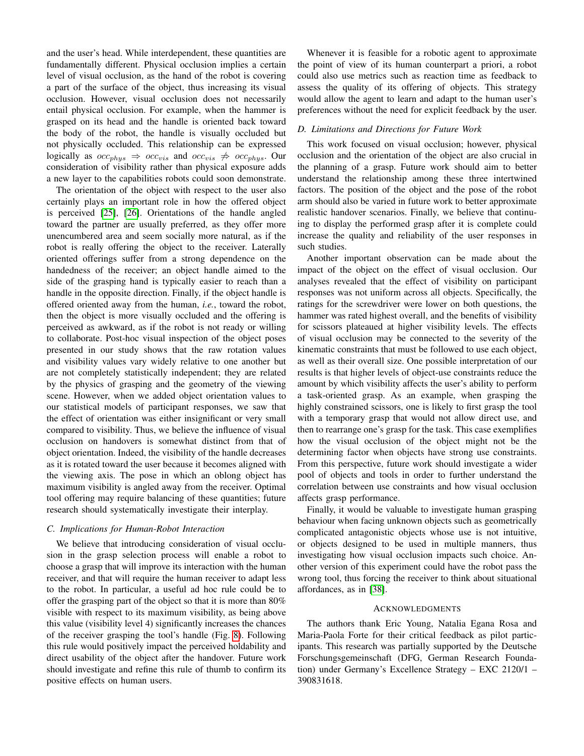and the user's head. While interdependent, these quantities are fundamentally different. Physical occlusion implies a certain level of visual occlusion, as the hand of the robot is covering a part of the surface of the object, thus increasing its visual occlusion. However, visual occlusion does not necessarily entail physical occlusion. For example, when the hammer is grasped on its head and the handle is oriented back toward the body of the robot, the handle is visually occluded but not physically occluded. This relationship can be expressed logically as  $occ_{phys} \Rightarrow occ_{vis}$  and  $occ_{vis} \not\Rightarrow occ_{phys}$ . Our consideration of visibility rather than physical exposure adds a new layer to the capabilities robots could soon demonstrate.

The orientation of the object with respect to the user also certainly plays an important role in how the offered object is perceived [\[25\]](#page-8-31), [\[26\]](#page-8-20). Orientations of the handle angled toward the partner are usually preferred, as they offer more unencumbered area and seem socially more natural, as if the robot is really offering the object to the receiver. Laterally oriented offerings suffer from a strong dependence on the handedness of the receiver; an object handle aimed to the side of the grasping hand is typically easier to reach than a handle in the opposite direction. Finally, if the object handle is offered oriented away from the human, *i.e.*, toward the robot, then the object is more visually occluded and the offering is perceived as awkward, as if the robot is not ready or willing to collaborate. Post-hoc visual inspection of the object poses presented in our study shows that the raw rotation values and visibility values vary widely relative to one another but are not completely statistically independent; they are related by the physics of grasping and the geometry of the viewing scene. However, when we added object orientation values to our statistical models of participant responses, we saw that the effect of orientation was either insignificant or very small compared to visibility. Thus, we believe the influence of visual occlusion on handovers is somewhat distinct from that of object orientation. Indeed, the visibility of the handle decreases as it is rotated toward the user because it becomes aligned with the viewing axis. The pose in which an oblong object has maximum visibility is angled away from the receiver. Optimal tool offering may require balancing of these quantities; future research should systematically investigate their interplay.

# *C. Implications for Human-Robot Interaction*

We believe that introducing consideration of visual occlusion in the grasp selection process will enable a robot to choose a grasp that will improve its interaction with the human receiver, and that will require the human receiver to adapt less to the robot. In particular, a useful ad hoc rule could be to offer the grasping part of the object so that it is more than 80% visible with respect to its maximum visibility, as being above this value (visibility level 4) significantly increases the chances of the receiver grasping the tool's handle (Fig. [8\)](#page-5-0). Following this rule would positively impact the perceived holdability and direct usability of the object after the handover. Future work should investigate and refine this rule of thumb to confirm its positive effects on human users.

Whenever it is feasible for a robotic agent to approximate the point of view of its human counterpart a priori, a robot could also use metrics such as reaction time as feedback to assess the quality of its offering of objects. This strategy would allow the agent to learn and adapt to the human user's preferences without the need for explicit feedback by the user.

# *D. Limitations and Directions for Future Work*

This work focused on visual occlusion; however, physical occlusion and the orientation of the object are also crucial in the planning of a grasp. Future work should aim to better understand the relationship among these three intertwined factors. The position of the object and the pose of the robot arm should also be varied in future work to better approximate realistic handover scenarios. Finally, we believe that continuing to display the performed grasp after it is complete could increase the quality and reliability of the user responses in such studies.

Another important observation can be made about the impact of the object on the effect of visual occlusion. Our analyses revealed that the effect of visibility on participant responses was not uniform across all objects. Specifically, the ratings for the screwdriver were lower on both questions, the hammer was rated highest overall, and the benefits of visibility for scissors plateaued at higher visibility levels. The effects of visual occlusion may be connected to the severity of the kinematic constraints that must be followed to use each object, as well as their overall size. One possible interpretation of our results is that higher levels of object-use constraints reduce the amount by which visibility affects the user's ability to perform a task-oriented grasp. As an example, when grasping the highly constrained scissors, one is likely to first grasp the tool with a temporary grasp that would not allow direct use, and then to rearrange one's grasp for the task. This case exemplifies how the visual occlusion of the object might not be the determining factor when objects have strong use constraints. From this perspective, future work should investigate a wider pool of objects and tools in order to further understand the correlation between use constraints and how visual occlusion affects grasp performance.

Finally, it would be valuable to investigate human grasping behaviour when facing unknown objects such as geometrically complicated antagonistic objects whose use is not intuitive, or objects designed to be used in multiple manners, thus investigating how visual occlusion impacts such choice. Another version of this experiment could have the robot pass the wrong tool, thus forcing the receiver to think about situational affordances, as in [\[38\]](#page-8-32).

# **ACKNOWLEDGMENTS**

The authors thank Eric Young, Natalia Egana Rosa and Maria-Paola Forte for their critical feedback as pilot participants. This research was partially supported by the Deutsche Forschungsgemeinschaft (DFG, German Research Foundation) under Germany's Excellence Strategy – EXC 2120/1 – 390831618.